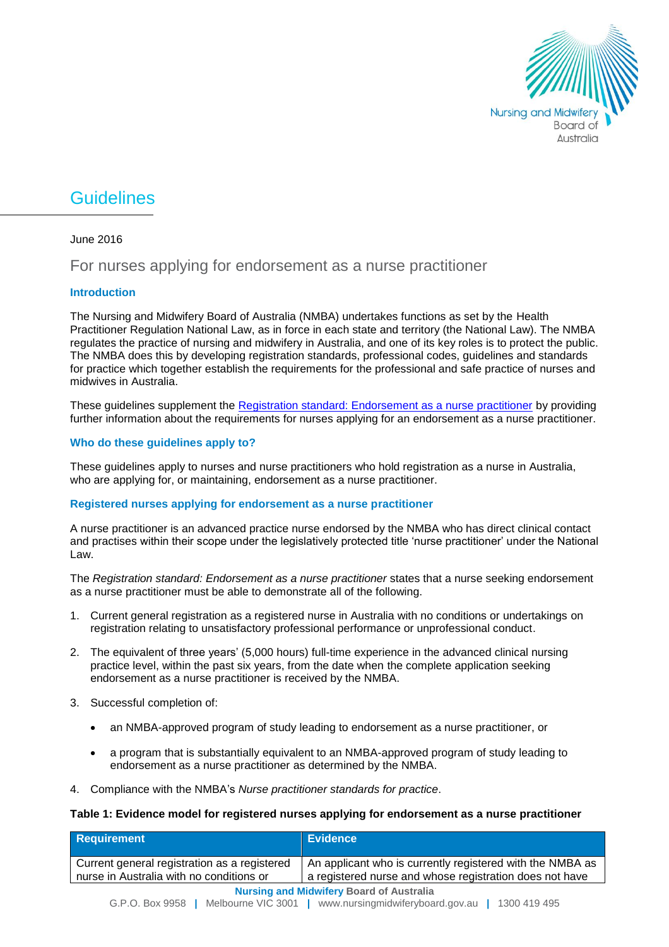

# **Guidelines**

## June 2016

# For nurses applying for endorsement as a nurse practitioner

## **Introduction**

The Nursing and Midwifery Board of Australia (NMBA) undertakes functions as set by the Health Practitioner Regulation National Law, as in force in each state and territory (the National Law). The NMBA regulates the practice of nursing and midwifery in Australia, and one of its key roles is to protect the public. The NMBA does this by developing registration standards, professional codes, guidelines and standards for practice which together establish the requirements for the professional and safe practice of nurses and midwives in Australia.

These guidelines supplement the [Registration standard: Endorsement as a nurse practitioner](http://www.nursingmidwiferyboard.gov.au/Registration-Standards.aspx) by providing further information about the requirements for nurses applying for an endorsement as a nurse practitioner.

#### **Who do these guidelines apply to?**

These guidelines apply to nurses and nurse practitioners who hold registration as a nurse in Australia, who are applying for, or maintaining, endorsement as a nurse practitioner.

#### **Registered nurses applying for endorsement as a nurse practitioner**

A nurse practitioner is an advanced practice nurse endorsed by the NMBA who has direct clinical contact and practises within their scope under the legislatively protected title 'nurse practitioner' under the National Law.

The *Registration standard: Endorsement as a nurse practitioner* states that a nurse seeking endorsement as a nurse practitioner must be able to demonstrate all of the following.

- 1. Current general registration as a registered nurse in Australia with no conditions or undertakings on registration relating to unsatisfactory professional performance or unprofessional conduct.
- 2. The equivalent of three years' (5,000 hours) full-time experience in the advanced clinical nursing practice level, within the past six years, from the date when the complete application seeking endorsement as a nurse practitioner is received by the NMBA.
- 3. Successful completion of:
	- an NMBA-approved program of study leading to endorsement as a nurse practitioner, or
	- a program that is substantially equivalent to an NMBA-approved program of study leading to endorsement as a nurse practitioner as determined by the NMBA.
- 4. Compliance with the NMBA's *[Nurse practitioner standards for practice](http://www.nursingmidwiferyboard.gov.au/Codes-Guidelines-Statements/Professional-standards.aspx)*.

#### **Table 1: Evidence model for registered nurses applying for endorsement as a nurse practitioner**

| Requirement                                                                                                                                  | <b>Evidence</b>                                                                                                      |
|----------------------------------------------------------------------------------------------------------------------------------------------|----------------------------------------------------------------------------------------------------------------------|
| Current general registration as a registered<br>nurse in Australia with no conditions or                                                     | An applicant who is currently registered with the NMBA as<br>a registered nurse and whose registration does not have |
| <b>Nursing and Midwifery Board of Australia</b><br>G.P.O. Box 9958<br>www.nursingmidwiferyboard.gov.au<br>Melbourne VIC 3001<br>1300 419 495 |                                                                                                                      |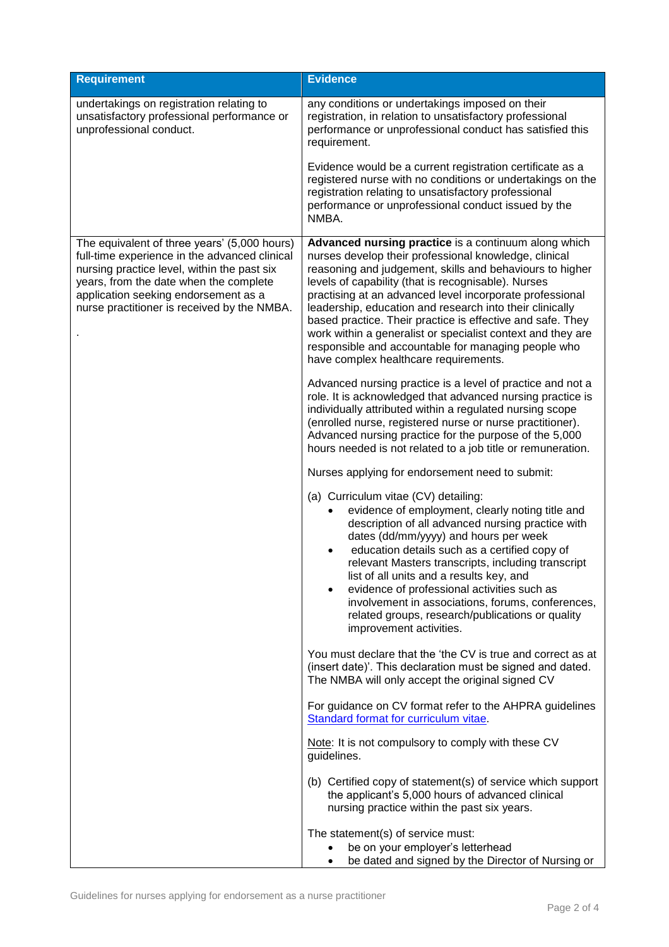| <b>Requirement</b>                                                                                                                                                                                                                                                            | <b>Evidence</b>                                                                                                                                                                                                                                                                                                                                                                                                                                                                                                                                                                       |
|-------------------------------------------------------------------------------------------------------------------------------------------------------------------------------------------------------------------------------------------------------------------------------|---------------------------------------------------------------------------------------------------------------------------------------------------------------------------------------------------------------------------------------------------------------------------------------------------------------------------------------------------------------------------------------------------------------------------------------------------------------------------------------------------------------------------------------------------------------------------------------|
| undertakings on registration relating to<br>unsatisfactory professional performance or<br>unprofessional conduct.                                                                                                                                                             | any conditions or undertakings imposed on their<br>registration, in relation to unsatisfactory professional<br>performance or unprofessional conduct has satisfied this<br>requirement.                                                                                                                                                                                                                                                                                                                                                                                               |
|                                                                                                                                                                                                                                                                               | Evidence would be a current registration certificate as a<br>registered nurse with no conditions or undertakings on the<br>registration relating to unsatisfactory professional<br>performance or unprofessional conduct issued by the<br>NMBA.                                                                                                                                                                                                                                                                                                                                       |
| The equivalent of three years' (5,000 hours)<br>full-time experience in the advanced clinical<br>nursing practice level, within the past six<br>years, from the date when the complete<br>application seeking endorsement as a<br>nurse practitioner is received by the NMBA. | Advanced nursing practice is a continuum along which<br>nurses develop their professional knowledge, clinical<br>reasoning and judgement, skills and behaviours to higher<br>levels of capability (that is recognisable). Nurses<br>practising at an advanced level incorporate professional<br>leadership, education and research into their clinically<br>based practice. Their practice is effective and safe. They<br>work within a generalist or specialist context and they are<br>responsible and accountable for managing people who<br>have complex healthcare requirements. |
|                                                                                                                                                                                                                                                                               | Advanced nursing practice is a level of practice and not a<br>role. It is acknowledged that advanced nursing practice is<br>individually attributed within a regulated nursing scope<br>(enrolled nurse, registered nurse or nurse practitioner).<br>Advanced nursing practice for the purpose of the 5,000<br>hours needed is not related to a job title or remuneration.                                                                                                                                                                                                            |
|                                                                                                                                                                                                                                                                               | Nurses applying for endorsement need to submit:                                                                                                                                                                                                                                                                                                                                                                                                                                                                                                                                       |
|                                                                                                                                                                                                                                                                               | (a) Curriculum vitae (CV) detailing:<br>evidence of employment, clearly noting title and<br>description of all advanced nursing practice with<br>dates (dd/mm/yyyy) and hours per week<br>education details such as a certified copy of<br>relevant Masters transcripts, including transcript<br>list of all units and a results key, and<br>evidence of professional activities such as<br>involvement in associations, forums, conferences,<br>related groups, research/publications or quality<br>improvement activities.                                                          |
|                                                                                                                                                                                                                                                                               | You must declare that the 'the CV is true and correct as at<br>(insert date)'. This declaration must be signed and dated.<br>The NMBA will only accept the original signed CV                                                                                                                                                                                                                                                                                                                                                                                                         |
|                                                                                                                                                                                                                                                                               | For guidance on CV format refer to the AHPRA guidelines<br>Standard format for curriculum vitae.                                                                                                                                                                                                                                                                                                                                                                                                                                                                                      |
|                                                                                                                                                                                                                                                                               | Note: It is not compulsory to comply with these CV<br>guidelines.                                                                                                                                                                                                                                                                                                                                                                                                                                                                                                                     |
|                                                                                                                                                                                                                                                                               | (b) Certified copy of statement(s) of service which support<br>the applicant's 5,000 hours of advanced clinical<br>nursing practice within the past six years.                                                                                                                                                                                                                                                                                                                                                                                                                        |
|                                                                                                                                                                                                                                                                               | The statement(s) of service must:                                                                                                                                                                                                                                                                                                                                                                                                                                                                                                                                                     |
|                                                                                                                                                                                                                                                                               | be on your employer's letterhead<br>be dated and signed by the Director of Nursing or<br>$\bullet$                                                                                                                                                                                                                                                                                                                                                                                                                                                                                    |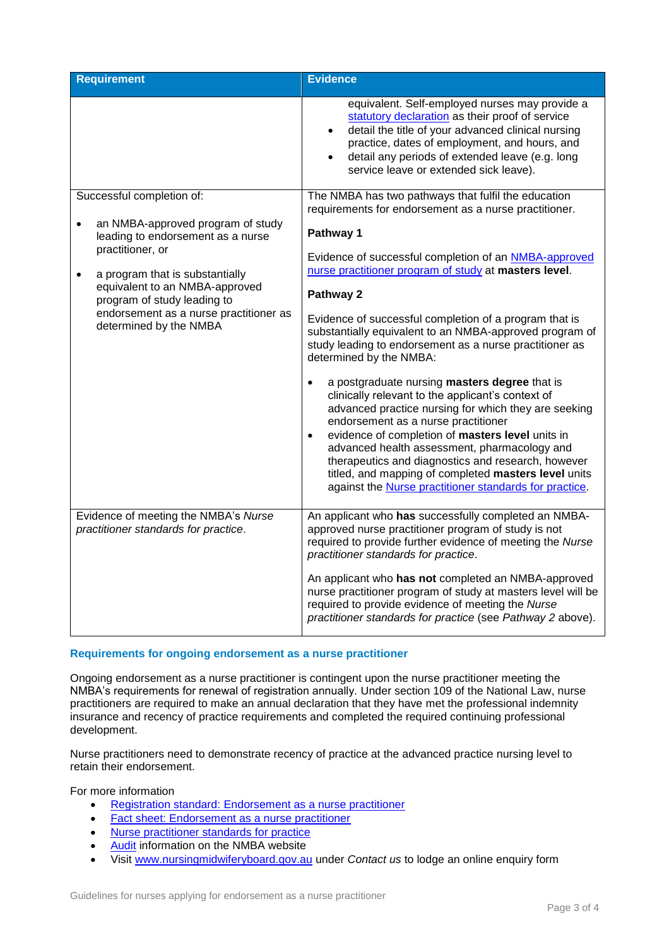| <b>Requirement</b>                                                                                                                                                                                                                                                                           | <b>Evidence</b>                                                                                                                                                                                                                                                                                                                                                                                                                                                                                                |
|----------------------------------------------------------------------------------------------------------------------------------------------------------------------------------------------------------------------------------------------------------------------------------------------|----------------------------------------------------------------------------------------------------------------------------------------------------------------------------------------------------------------------------------------------------------------------------------------------------------------------------------------------------------------------------------------------------------------------------------------------------------------------------------------------------------------|
|                                                                                                                                                                                                                                                                                              | equivalent. Self-employed nurses may provide a<br>statutory declaration as their proof of service<br>detail the title of your advanced clinical nursing<br>practice, dates of employment, and hours, and<br>detail any periods of extended leave (e.g. long<br>service leave or extended sick leave).                                                                                                                                                                                                          |
| Successful completion of:                                                                                                                                                                                                                                                                    | The NMBA has two pathways that fulfil the education<br>requirements for endorsement as a nurse practitioner.                                                                                                                                                                                                                                                                                                                                                                                                   |
| an NMBA-approved program of study<br>$\bullet$<br>leading to endorsement as a nurse<br>practitioner, or<br>a program that is substantially<br>$\bullet$<br>equivalent to an NMBA-approved<br>program of study leading to<br>endorsement as a nurse practitioner as<br>determined by the NMBA | Pathway 1                                                                                                                                                                                                                                                                                                                                                                                                                                                                                                      |
|                                                                                                                                                                                                                                                                                              | Evidence of successful completion of an NMBA-approved<br>nurse practitioner program of study at masters level.                                                                                                                                                                                                                                                                                                                                                                                                 |
|                                                                                                                                                                                                                                                                                              | Pathway 2                                                                                                                                                                                                                                                                                                                                                                                                                                                                                                      |
|                                                                                                                                                                                                                                                                                              | Evidence of successful completion of a program that is<br>substantially equivalent to an NMBA-approved program of<br>study leading to endorsement as a nurse practitioner as<br>determined by the NMBA:                                                                                                                                                                                                                                                                                                        |
|                                                                                                                                                                                                                                                                                              | a postgraduate nursing masters degree that is<br>$\bullet$<br>clinically relevant to the applicant's context of<br>advanced practice nursing for which they are seeking<br>endorsement as a nurse practitioner<br>evidence of completion of masters level units in<br>$\bullet$<br>advanced health assessment, pharmacology and<br>therapeutics and diagnostics and research, however<br>titled, and mapping of completed masters level units<br>against the <b>Nurse</b> practitioner standards for practice. |
| Evidence of meeting the NMBA's Nurse<br>practitioner standards for practice.                                                                                                                                                                                                                 | An applicant who has successfully completed an NMBA-<br>approved nurse practitioner program of study is not<br>required to provide further evidence of meeting the Nurse<br>practitioner standards for practice.                                                                                                                                                                                                                                                                                               |
|                                                                                                                                                                                                                                                                                              | An applicant who has not completed an NMBA-approved<br>nurse practitioner program of study at masters level will be<br>required to provide evidence of meeting the Nurse<br>practitioner standards for practice (see Pathway 2 above).                                                                                                                                                                                                                                                                         |

#### **Requirements for ongoing endorsement as a nurse practitioner**

Ongoing endorsement as a nurse practitioner is contingent upon the nurse practitioner meeting the NMBA's requirements for renewal of registration annually. Under section 109 of the National Law, nurse practitioners are required to make an annual declaration that they have met the professional indemnity insurance and recency of practice requirements and completed the required continuing professional development.

Nurse practitioners need to demonstrate recency of practice at the advanced practice nursing level to retain their endorsement.

For more information

- [Registration standard: Endorsement as a nurse practitioner](http://www.nursingmidwiferyboard.gov.au/Registration-Standards.aspx)
- [Fact sheet: Endorsement as a nurse practitioner](http://www.nursingmidwiferyboard.gov.au/Registration-and-Endorsement/Endorsements-Notations.aspx#nursep)
- [Nurse practitioner standards for practice](http://www.nursingmidwiferyboard.gov.au/Codes-Guidelines-Statements/Professional-standards/nurse-practitioner-standards-of-practice.aspx)
- [Audit](http://www.nursingmidwiferyboard.gov.au/Registration-and-Endorsement/Audit.aspx) information on the NMBA website
- Visit [www.nursingmidwiferyboard.gov.au](http://www.nursingmidwiferyboard.gov.au/) under *Contact us* to lodge an online enquiry form